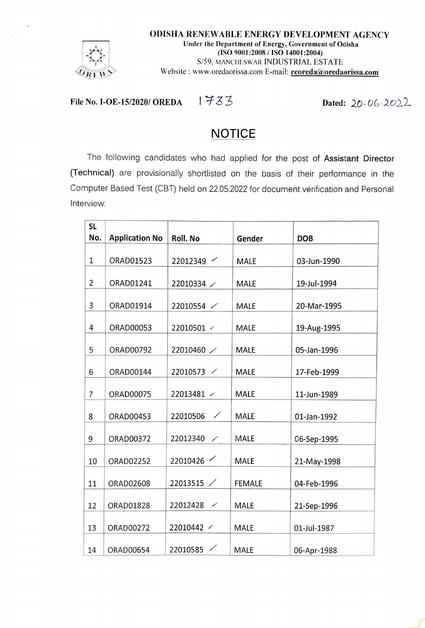

File No. I-OE-15/2020/ OREDA  $1733$  Dated: 20.06.2022

## **NOTICE**

The following candidates who had applied for the post of Assistant Director (Technical) are provisionally shortisted on the basis of their performance in the Computer Based Test (CBT) held on 22.05.2022 for document verification and Personal IntervieW.

| <b>SL</b>      |                       |                                      |               |             |
|----------------|-----------------------|--------------------------------------|---------------|-------------|
| No.            | <b>Application No</b> | Roll. No                             | Gender        | <b>DOB</b>  |
| $\mathbf 1$    | ORAD01523             | 22012349                             | MALE          | 03-Jun-1990 |
| $\overline{2}$ | ORAD01241             | 22010334                             | MALE          | 19-Jul-1994 |
| 3              | ORAD01914             | 22010554 /                           | <b>MALE</b>   | 20-Mar-1995 |
| 4              | ORAD00053             | 22010501 /                           | <b>MALE</b>   | 19-Aug-1995 |
| 5              | ORAD00792             | 22010460 /                           | <b>MALE</b>   | 05-Jan-1996 |
| 6              | ORAD00144             | 22010573 /                           | MALE          | 17-Feb-1999 |
| $\overline{7}$ | ORAD00075             | 22013481 /                           | <b>MALE</b>   | 11-Jun-1989 |
| 8              | ORAD00453             | 22010506 /                           | <b>MALE</b>   | 01-Jan-1992 |
| 9              | ORAD00372             | 22012340<br>$\overline{\phantom{0}}$ | MALE          | 06-Sep-1995 |
| 10             | ORAD02252             | 22010426                             | <b>MALE</b>   | 21-May-1998 |
| 11             | ORAD02608             | 22013515 /                           | <b>FEMALE</b> | 04-Feb-1996 |
| 12             | ORAD01828             | 22012428 $\angle$                    | MALE          | 21-Sep-1996 |
| 13             | ORAD00272             | 22010442 /                           | <b>MALE</b>   | 01-Jul-1987 |
| 14             | ORAD00654             | 22010585                             | MALE          | 06-Apr-1988 |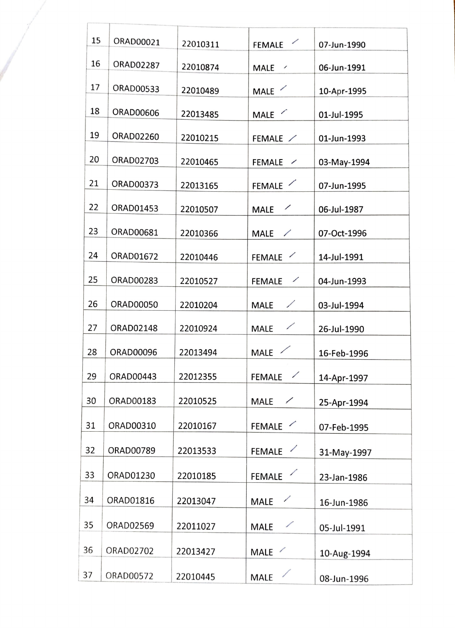| 15 | ORAD00021        | 22010311 | <b>FEMALE</b>                             | 07-Jun-1990 |
|----|------------------|----------|-------------------------------------------|-------------|
| 16 | <b>ORAD02287</b> | 22010874 | <b>MALE</b><br>$\overline{\phantom{a}}$   | 06-Jun-1991 |
| 17 | ORAD00533        | 22010489 | MALE /                                    | 10-Apr-1995 |
| 18 | ORAD00606        | 22013485 | MALE /                                    | 01-Jul-1995 |
| 19 | ORAD02260        | 22010215 | FEMALE /                                  | 01-Jun-1993 |
| 20 | ORAD02703        | 22010465 | <b>FEMALE</b><br>$\overline{\phantom{a}}$ | 03-May-1994 |
| 21 | ORAD00373        | 22013165 | FEMALE                                    | 07-Jun-1995 |
| 22 | ORAD01453        | 22010507 | $\overline{\phantom{a}}$<br><b>MALE</b>   | 06-Jul-1987 |
| 23 | ORAD00681        | 22010366 | MALE $\angle$                             | 07-Oct-1996 |
| 24 | ORAD01672        | 22010446 | FEMALE /                                  | 14-Jul-1991 |
| 25 | ORAD00283        | 22010527 | <b>FEMALE</b><br>$\overline{\phantom{a}}$ | 04-Jun-1993 |
| 26 | <b>ORAD00050</b> | 22010204 | ∕<br><b>MALE</b>                          | 03-Jul-1994 |
| 27 | ORAD02148        | 22010924 | ∕<br><b>MALE</b>                          | 26-Jul-1990 |
| 28 | ORAD00096        | 22013494 | <b>MALE</b>                               | 16-Feb-1996 |
| 29 | ORAD00443        | 22012355 | ✓<br><b>FEMALE</b>                        | 14-Apr-1997 |
| 30 | ORAD00183        | 22010525 | <b>MALE</b><br>✓                          | 25-Apr-1994 |
| 31 | ORAD00310        | 22010167 | <b>FEMALE</b><br>∕                        | 07-Feb-1995 |
| 32 | ORAD00789        | 22013533 | $\overline{\phantom{a}}$<br><b>FEMALE</b> | 31-May-1997 |
| 33 | ORAD01230        | 22010185 | <b>FEMALE</b>                             |             |
|    |                  |          |                                           | 23-Jan-1986 |
| 34 | ORAD01816        | 22013047 | ∕<br><b>MALE</b>                          | 16-Jun-1986 |
| 35 | ORAD02569        | 22011027 | ╱<br><b>MALE</b>                          | 05-Jul-1991 |
| 36 | ORAD02702        | 22013427 | MALE /                                    | 10-Aug-1994 |
| 37 | ORAD00572        | 22010445 | <b>MALE</b>                               | 08-Jun-1996 |